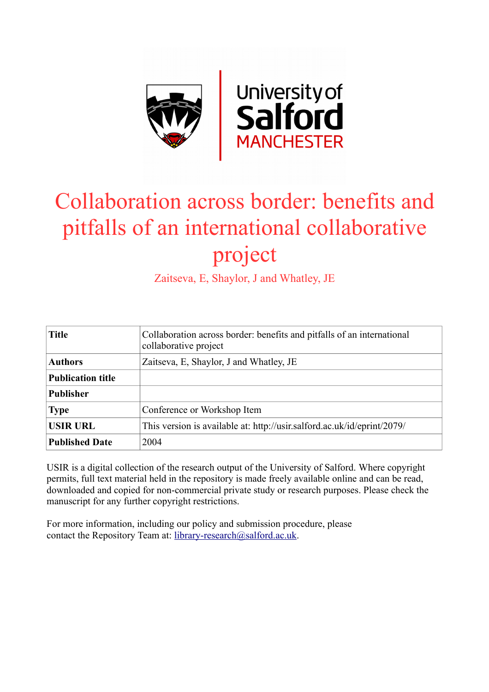

# Collaboration across border: benefits and pitfalls of an international collaborative project

Zaitseva, E, Shaylor, J and Whatley, JE

| <b>Title</b>             | Collaboration across border: benefits and pitfalls of an international<br>collaborative project |
|--------------------------|-------------------------------------------------------------------------------------------------|
| <b>Authors</b>           | Zaitseva, E, Shaylor, J and Whatley, JE                                                         |
| <b>Publication title</b> |                                                                                                 |
| <b>Publisher</b>         |                                                                                                 |
| <b>Type</b>              | Conference or Workshop Item                                                                     |
| <b>USIR URL</b>          | This version is available at: http://usir.salford.ac.uk/id/eprint/2079/                         |
| <b>Published Date</b>    | 2004                                                                                            |

USIR is a digital collection of the research output of the University of Salford. Where copyright permits, full text material held in the repository is made freely available online and can be read, downloaded and copied for non-commercial private study or research purposes. Please check the manuscript for any further copyright restrictions.

For more information, including our policy and submission procedure, please contact the Repository Team at: [library-research@salford.ac.uk.](mailto:library-research@salford.ac.uk)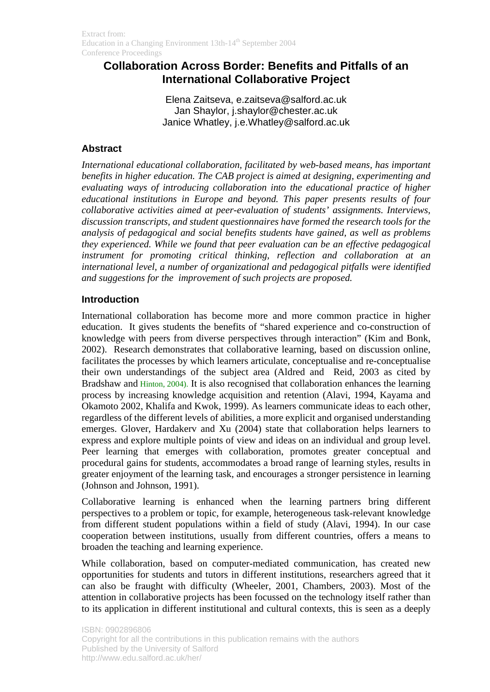# **Collaboration Across Border: Benefits and Pitfalls of an International Collaborative Project**

Elena Zaitseva, e.zaitseva@salford.ac.uk Jan Shaylor, j.shaylor@chester.ac.uk Janice Whatley, j.e.Whatley@salford.ac.uk

# **Abstract**

*International educational collaboration, facilitated by web-based means, has important benefits in higher education. The CAB project is aimed at designing, experimenting and evaluating ways of introducing collaboration into the educational practice of higher educational institutions in Europe and beyond. This paper presents results of four collaborative activities aimed at peer-evaluation of students' assignments. Interviews, discussion transcripts, and student questionnaires have formed the research tools for the analysis of pedagogical and social benefits students have gained, as well as problems they experienced. While we found that peer evaluation can be an effective pedagogical instrument for promoting critical thinking, reflection and collaboration at an international level, a number of organizational and pedagogical pitfalls were identified and suggestions for the improvement of such projects are proposed.* 

## **Introduction**

International collaboration has become more and more common practice in higher education. It gives students the benefits of "shared experience and co-construction of knowledge with peers from diverse perspectives through interaction" (Kim and Bonk, 2002). Research demonstrates that collaborative learning, based on discussion online, facilitates the processes by which learners articulate, conceptualise and re-conceptualise their own understandings of the subject area (Aldred and Reid, 2003 as cited by Bradshaw and Hinton, 2004). It is also recognised that collaboration enhances the learning process by increasing knowledge acquisition and retention (Alavi, 1994, Kayama and Okamoto 2002, Khalifa and Kwok, 1999). As learners communicate ideas to each other, regardless of the different levels of abilities, a more explicit and organised understanding emerges. Glover, Hardakerv and Xu (2004) state that collaboration helps learners to express and explore multiple points of view and ideas on an individual and group level. Peer learning that emerges with collaboration, promotes greater conceptual and procedural gains for students, accommodates a broad range of learning styles, results in greater enjoyment of the learning task, and encourages a stronger persistence in learning (Johnson and Johnson, 1991).

Collaborative learning is enhanced when the learning partners bring different perspectives to a problem or topic, for example, heterogeneous task-relevant knowledge from different student populations within a field of study (Alavi, 1994). In our case cooperation between institutions, usually from different countries, offers a means to broaden the teaching and learning experience.

While collaboration, based on computer-mediated communication, has created new opportunities for students and tutors in different institutions, researchers agreed that it can also be fraught with difficulty (Wheeler, 2001, Chambers, 2003). Most of the attention in collaborative projects has been focussed on the technology itself rather than to its application in different institutional and cultural contexts, this is seen as a deeply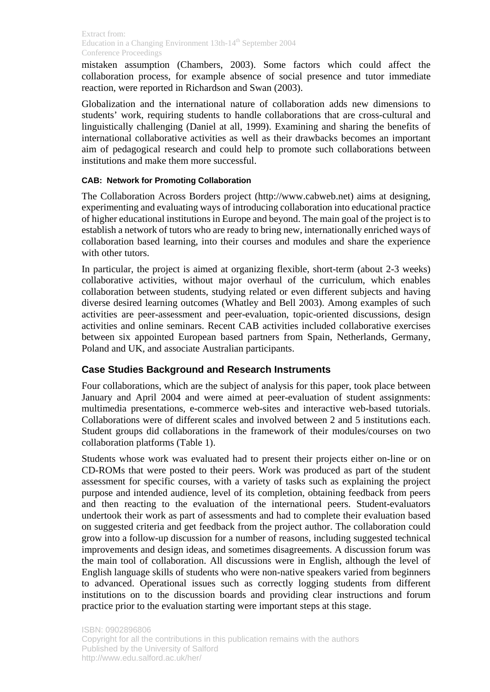mistaken assumption (Chambers, 2003). Some factors which could affect the collaboration process, for example absence of social presence and tutor immediate reaction, were reported in Richardson and Swan (2003).

Globalization and the international nature of collaboration adds new dimensions to students' work, requiring students to handle collaborations that are cross-cultural and linguistically challenging (Daniel at all, 1999). Examining and sharing the benefits of international collaborative activities as well as their drawbacks becomes an important aim of pedagogical research and could help to promote such collaborations between institutions and make them more successful.

## **CAB: Network for Promoting Collaboration**

The Collaboration Across Borders project (http://www.cabweb.net) aims at designing, experimenting and evaluating ways of introducing collaboration into educational practice of higher educational institutions in Europe and beyond. The main goal of the project is to establish a network of tutors who are ready to bring new, internationally enriched ways of collaboration based learning, into their courses and modules and share the experience with other tutors.

In particular, the project is aimed at organizing flexible, short-term (about 2-3 weeks) collaborative activities, without major overhaul of the curriculum, which enables collaboration between students, studying related or even different subjects and having diverse desired learning outcomes (Whatley and Bell 2003). Among examples of such activities are peer-assessment and peer-evaluation, topic-oriented discussions, design activities and online seminars. Recent CAB activities included collaborative exercises between six appointed European based partners from Spain, Netherlands, Germany, Poland and UK, and associate Australian participants.

# **Case Studies Background and Research Instruments**

Four collaborations, which are the subject of analysis for this paper, took place between January and April 2004 and were aimed at peer-evaluation of student assignments: multimedia presentations, e-commerce web-sites and interactive web-based tutorials. Collaborations were of different scales and involved between 2 and 5 institutions each. Student groups did collaborations in the framework of their modules/courses on two collaboration platforms (Table 1).

Students whose work was evaluated had to present their projects either on-line or on CD-ROMs that were posted to their peers. Work was produced as part of the student assessment for specific courses, with a variety of tasks such as explaining the project purpose and intended audience, level of its completion, obtaining feedback from peers and then reacting to the evaluation of the international peers. Student-evaluators undertook their work as part of assessments and had to complete their evaluation based on suggested criteria and get feedback from the project author. The collaboration could grow into a follow-up discussion for a number of reasons, including suggested technical improvements and design ideas, and sometimes disagreements. A discussion forum was the main tool of collaboration. All discussions were in English, although the level of English language skills of students who were non-native speakers varied from beginners to advanced. Operational issues such as correctly logging students from different institutions on to the discussion boards and providing clear instructions and forum practice prior to the evaluation starting were important steps at this stage.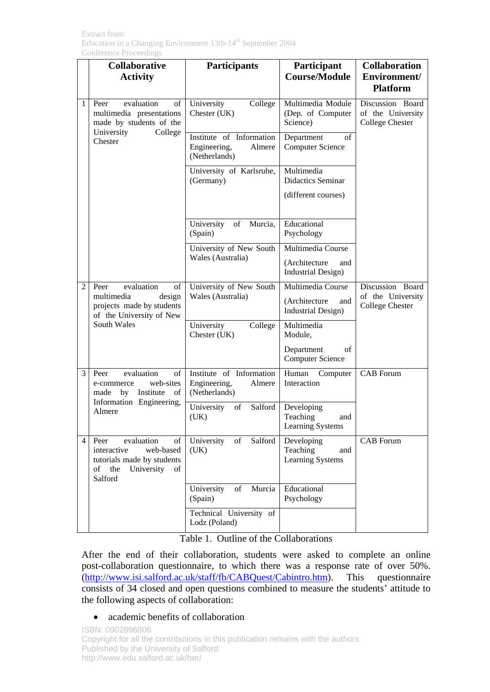|                | <b>Collaborative</b><br><b>Activity</b>                                                                                     | <b>Participants</b>                                                 | Participant<br><b>Course/Module</b>                | <b>Collaboration</b><br>Environment/<br><b>Platform</b>         |  |
|----------------|-----------------------------------------------------------------------------------------------------------------------------|---------------------------------------------------------------------|----------------------------------------------------|-----------------------------------------------------------------|--|
| $\mathbf{1}$   | of<br>evaluation<br>Peer<br>multimedia presentations<br>made by students of the<br>University<br>College                    | University<br>College<br>Chester (UK)                               | Multimedia Module<br>(Dep. of Computer<br>Science) | Discussion Board<br>of the University<br><b>College Chester</b> |  |
|                | Chester                                                                                                                     | Institute of Information<br>Engineering,<br>Almere<br>(Netherlands) | Department<br>of<br><b>Computer Science</b>        |                                                                 |  |
|                |                                                                                                                             | University of Karlsruhe,<br>(Germany)                               | Multimedia<br><b>Didactics Seminar</b>             |                                                                 |  |
|                |                                                                                                                             |                                                                     | (different courses)                                |                                                                 |  |
|                |                                                                                                                             | University<br>Murcia,<br>of<br>(Spain)                              | Educational<br>Psychology                          |                                                                 |  |
|                |                                                                                                                             | University of New South                                             | Multimedia Course                                  |                                                                 |  |
|                |                                                                                                                             | Wales (Australia)                                                   | (Architecture<br>and<br><b>Industrial Design)</b>  |                                                                 |  |
| 2              | evaluation<br>of<br>Peer                                                                                                    | University of New South                                             | Multimedia Course                                  | Discussion Board                                                |  |
|                | multimedia<br>design<br>projects made by students<br>of the University of New                                               | Wales (Australia)                                                   | (Architecture<br>and<br><b>Industrial Design)</b>  | of the University<br><b>College Chester</b>                     |  |
|                | South Wales                                                                                                                 | College<br>University<br>Chester (UK)                               | Multimedia<br>Module,                              |                                                                 |  |
|                |                                                                                                                             |                                                                     | Department<br>of<br><b>Computer Science</b>        |                                                                 |  |
| 3              | evaluation<br>of<br>Peer<br>web-sites<br>e-commerce<br>by Institute<br>of<br>made<br>Information Engineering,               | Institute of Information<br>Engineering,<br>Almere<br>(Netherlands) | Human<br>Computer<br>Interaction                   | <b>CAB</b> Forum                                                |  |
|                | Almere                                                                                                                      | University<br>Salford<br>of<br>(UK)                                 | Developing<br>Teaching<br>and<br>Learning Systems  |                                                                 |  |
| $\overline{4}$ | Peer<br>evaluation<br>of<br>interactive<br>web-based<br>tutorials made by students<br>of the<br>University<br>of<br>Salford | University<br>Salford<br>of<br>(UK)                                 | Developing<br>Teaching<br>and<br>Learning Systems  | CAB Forum                                                       |  |
|                |                                                                                                                             | University<br>of<br>Murcia<br>(Spain)                               | Educational<br>Psychology                          |                                                                 |  |
|                |                                                                                                                             | Technical University of<br>Lodz (Poland)                            |                                                    |                                                                 |  |

## Table 1. Outline of the Collaborations

After the end of their collaboration, students were asked to complete an online post-collaboration questionnaire, to which there was a response rate of over 50%. [\(http://www.isi.salford.ac.uk/staff/fb/CABQuest/Cabintro.htm](http://www.isi.salford.ac.uk/staff/fb/CABQuest/Cabintro.htm)). This questionnaire consists of 34 closed and open questions combined to measure the students' attitude to the following aspects of collaboration:

## academic benefits of collaboration

ISBN: 0902896806 Copyright for all the contributions in this publication remains with the authors Published by the University of Salford http://www.edu.salford.ac.uk/her/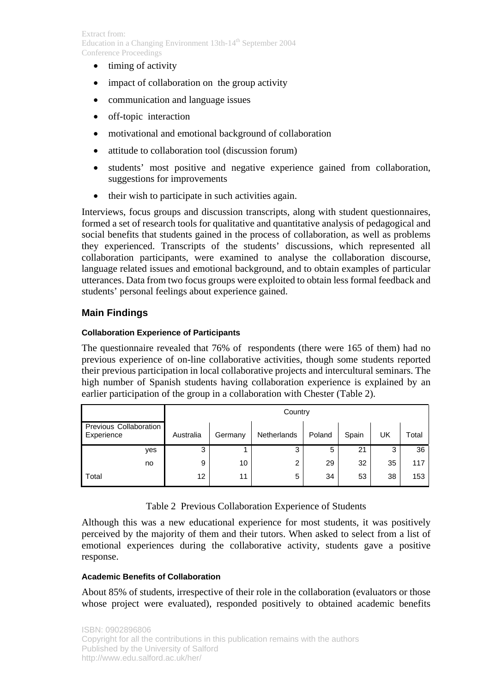- $\bullet$  timing of activity
- impact of collaboration on the group activity
- communication and language issues
- off-topic interaction
- motivational and emotional background of collaboration
- attitude to collaboration tool (discussion forum)
- students' most positive and negative experience gained from collaboration, suggestions for improvements
- their wish to participate in such activities again.

Interviews, focus groups and discussion transcripts, along with student questionnaires, formed a set of research tools for qualitative and quantitative analysis of pedagogical and social benefits that students gained in the process of collaboration, as well as problems they experienced. Transcripts of the students' discussions, which represented all collaboration participants, were examined to analyse the collaboration discourse, language related issues and emotional background, and to obtain examples of particular utterances. Data from two focus groups were exploited to obtain less formal feedback and students' personal feelings about experience gained.

# **Main Findings**

#### **Collaboration Experience of Participants**

The questionnaire revealed that 76% of respondents (there were 165 of them) had no previous experience of on-line collaborative activities, though some students reported their previous participation in local collaborative projects and intercultural seminars. The high number of Spanish students having collaboration experience is explained by an earlier participation of the group in a collaboration with Chester (Table 2).

|                                      |     | Country   |         |             |        |       |    |       |
|--------------------------------------|-----|-----------|---------|-------------|--------|-------|----|-------|
| Previous Collaboration<br>Experience |     | Australia | Germany | Netherlands | Poland | Spain | UK | Total |
|                                      | yes | 3         |         | 3           | 5      | 21    | 3  | 36    |
|                                      | no  | 9         | 10      | 2           | 29     | 32    | 35 | 117   |
| Total                                |     | 12        | 11      | 5           | 34     | 53    | 38 | 153   |

Table 2 Previous Collaboration Experience of Students

Although this was a new educational experience for most students, it was positively perceived by the majority of them and their tutors. When asked to select from a list of emotional experiences during the collaborative activity, students gave a positive response.

#### **Academic Benefits of Collaboration**

About 85% of students, irrespective of their role in the collaboration (evaluators or those whose project were evaluated), responded positively to obtained academic benefits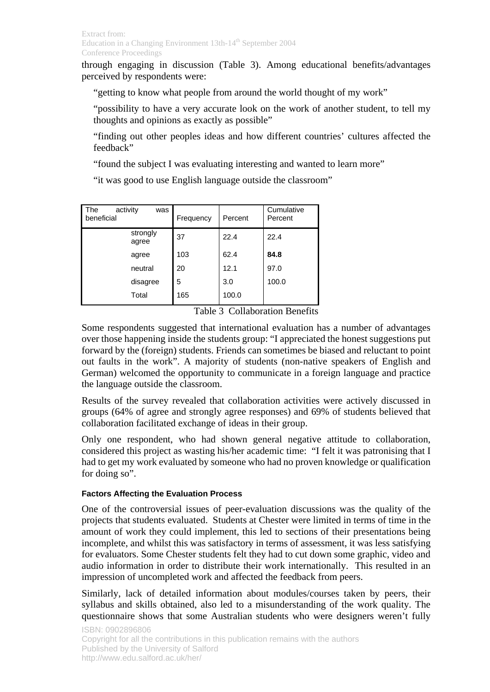through engaging in discussion (Table 3). Among educational benefits/advantages perceived by respondents were:

"getting to know what people from around the world thought of my work"

"possibility to have a very accurate look on the work of another student, to tell my thoughts and opinions as exactly as possible"

"finding out other peoples ideas and how different countries' cultures affected the feedback"

"found the subject I was evaluating interesting and wanted to learn more"

"it was good to use English language outside the classroom"

| The<br>activity<br>was<br>beneficial | Frequency | Percent | Cumulative<br>Percent |
|--------------------------------------|-----------|---------|-----------------------|
| strongly<br>agree                    | 37        | 22.4    | 22.4                  |
| agree                                | 103       | 62.4    | 84.8                  |
| neutral                              | 20        | 12.1    | 97.0                  |
| disagree                             | 5         | 3.0     | 100.0                 |
| Total                                | 165       | 100.0   |                       |

Table 3 Collaboration Benefits

Some respondents suggested that international evaluation has a number of advantages over those happening inside the students group: "I appreciated the honest suggestions put forward by the (foreign) students. Friends can sometimes be biased and reluctant to point out faults in the work". A majority of students (non-native speakers of English and German) welcomed the opportunity to communicate in a foreign language and practice the language outside the classroom.

Results of the survey revealed that collaboration activities were actively discussed in groups (64% of agree and strongly agree responses) and 69% of students believed that collaboration facilitated exchange of ideas in their group.

Only one respondent, who had shown general negative attitude to collaboration, considered this project as wasting his/her academic time: "I felt it was patronising that I had to get my work evaluated by someone who had no proven knowledge or qualification for doing so".

#### **Factors Affecting the Evaluation Process**

One of the controversial issues of peer-evaluation discussions was the quality of the projects that students evaluated. Students at Chester were limited in terms of time in the amount of work they could implement, this led to sections of their presentations being incomplete, and whilst this was satisfactory in terms of assessment, it was less satisfying for evaluators. Some Chester students felt they had to cut down some graphic, video and audio information in order to distribute their work internationally. This resulted in an impression of uncompleted work and affected the feedback from peers.

Similarly, lack of detailed information about modules/courses taken by peers, their syllabus and skills obtained, also led to a misunderstanding of the work quality. The questionnaire shows that some Australian students who were designers weren't fully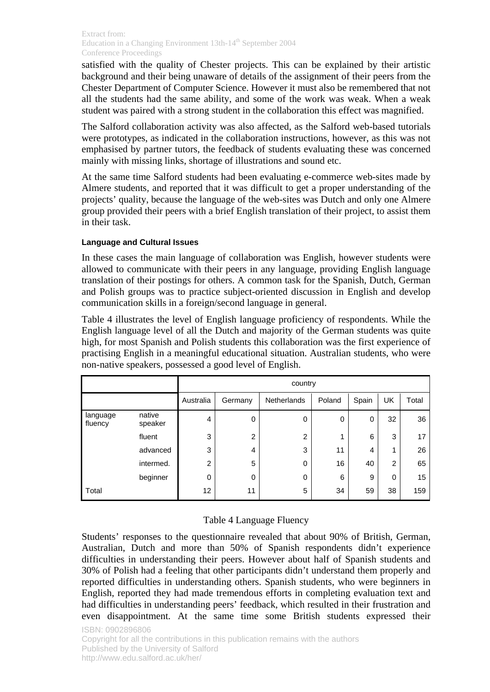satisfied with the quality of Chester projects. This can be explained by their artistic background and their being unaware of details of the assignment of their peers from the Chester Department of Computer Science. However it must also be remembered that not all the students had the same ability, and some of the work was weak. When a weak student was paired with a strong student in the collaboration this effect was magnified.

The Salford collaboration activity was also affected, as the Salford web-based tutorials were prototypes, as indicated in the collaboration instructions, however, as this was not emphasised by partner tutors, the feedback of students evaluating these was concerned mainly with missing links, shortage of illustrations and sound etc.

At the same time Salford students had been evaluating e-commerce web-sites made by Almere students, and reported that it was difficult to get a proper understanding of the projects' quality, because the language of the web-sites was Dutch and only one Almere group provided their peers with a brief English translation of their project, to assist them in their task.

#### **Language and Cultural Issues**

In these cases the main language of collaboration was English, however students were allowed to communicate with their peers in any language, providing English language translation of their postings for others. A common task for the Spanish, Dutch, German and Polish groups was to practice subject-oriented discussion in English and develop communication skills in a foreign/second language in general.

Table 4 illustrates the level of English language proficiency of respondents. While the English language level of all the Dutch and majority of the German students was quite high, for most Spanish and Polish students this collaboration was the first experience of practising English in a meaningful educational situation. Australian students, who were non-native speakers, possessed a good level of English.

|                     |                   | country                                                      |    |   |    |    |    |       |
|---------------------|-------------------|--------------------------------------------------------------|----|---|----|----|----|-------|
|                     |                   | Netherlands<br>Poland<br>UK<br>Australia<br>Germany<br>Spain |    |   |    |    |    | Total |
| language<br>fluency | native<br>speaker | 4                                                            | 0  | 0 | 0  | 0  | 32 | 36    |
|                     | fluent            | 3                                                            | 2  | 2 | 1  | 6  | 3  | 17    |
|                     | advanced          | 3                                                            | 4  | 3 | 11 | 4  | 1  | 26    |
|                     | intermed.         | $\overline{2}$                                               | 5  | 0 | 16 | 40 | 2  | 65    |
|                     | beginner          | $\Omega$                                                     | 0  | 0 | 6  | 9  | 0  | 15    |
| Total               |                   | 12                                                           | 11 | 5 | 34 | 59 | 38 | 159   |

## Table 4 Language Fluency

Students' responses to the questionnaire revealed that about 90% of British, German, Australian, Dutch and more than 50% of Spanish respondents didn't experience difficulties in understanding their peers. However about half of Spanish students and 30% of Polish had a feeling that other participants didn't understand them properly and reported difficulties in understanding others. Spanish students, who were beginners in English, reported they had made tremendous efforts in completing evaluation text and had difficulties in understanding peers' feedback, which resulted in their frustration and even disappointment. At the same time some British students expressed their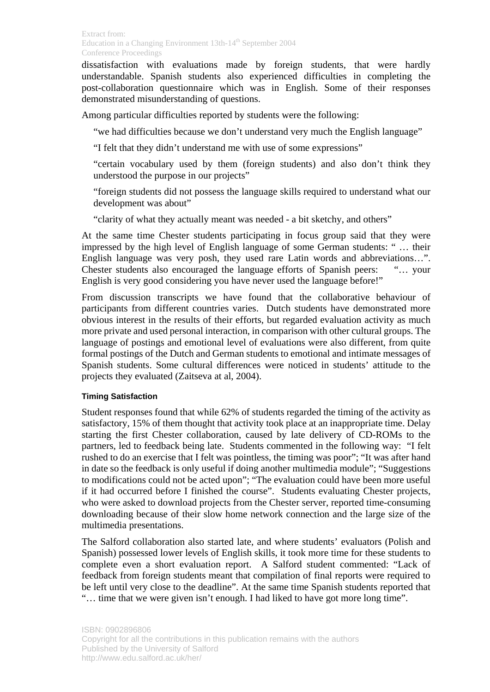dissatisfaction with evaluations made by foreign students, that were hardly understandable. Spanish students also experienced difficulties in completing the post-collaboration questionnaire which was in English. Some of their responses demonstrated misunderstanding of questions.

Among particular difficulties reported by students were the following:

"we had difficulties because we don't understand very much the English language"

"I felt that they didn't understand me with use of some expressions"

"certain vocabulary used by them (foreign students) and also don't think they understood the purpose in our projects"

"foreign students did not possess the language skills required to understand what our development was about"

"clarity of what they actually meant was needed - a bit sketchy, and others"

At the same time Chester students participating in focus group said that they were impressed by the high level of English language of some German students: " … their English language was very posh, they used rare Latin words and abbreviations…". Chester students also encouraged the language efforts of Spanish peers: "… your English is very good considering you have never used the language before!"

From discussion transcripts we have found that the collaborative behaviour of participants from different countries varies. Dutch students have demonstrated more obvious interest in the results of their efforts, but regarded evaluation activity as much more private and used personal interaction, in comparison with other cultural groups. The language of postings and emotional level of evaluations were also different, from quite formal postings of the Dutch and German students to emotional and intimate messages of Spanish students. Some cultural differences were noticed in students' attitude to the projects they evaluated (Zaitseva at al, 2004).

#### **Timing Satisfaction**

Student responses found that while 62% of students regarded the timing of the activity as satisfactory, 15% of them thought that activity took place at an inappropriate time. Delay starting the first Chester collaboration, caused by late delivery of CD-ROMs to the partners, led to feedback being late. Students commented in the following way: "I felt rushed to do an exercise that I felt was pointless, the timing was poor"; "It was after hand in date so the feedback is only useful if doing another multimedia module"; "Suggestions to modifications could not be acted upon"; "The evaluation could have been more useful if it had occurred before I finished the course". Students evaluating Chester projects, who were asked to download projects from the Chester server, reported time-consuming downloading because of their slow home network connection and the large size of the multimedia presentations.

The Salford collaboration also started late, and where students' evaluators (Polish and Spanish) possessed lower levels of English skills, it took more time for these students to complete even a short evaluation report. A Salford student commented: "Lack of feedback from foreign students meant that compilation of final reports were required to be left until very close to the deadline". At the same time Spanish students reported that "… time that we were given isn't enough. I had liked to have got more long time".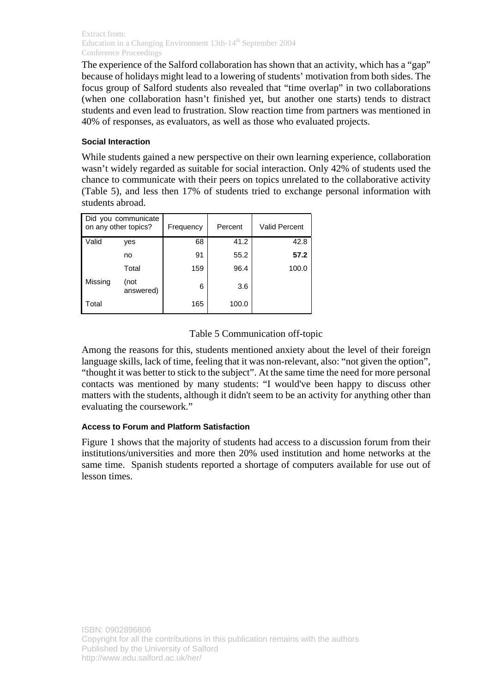The experience of the Salford collaboration has shown that an activity, which has a "gap" because of holidays might lead to a lowering of students' motivation from both sides. The focus group of Salford students also revealed that "time overlap" in two collaborations (when one collaboration hasn't finished yet, but another one starts) tends to distract students and even lead to frustration. Slow reaction time from partners was mentioned in 40% of responses, as evaluators, as well as those who evaluated projects.

#### **Social Interaction**

While students gained a new perspective on their own learning experience, collaboration wasn't widely regarded as suitable for social interaction. Only 42% of students used the chance to communicate with their peers on topics unrelated to the collaborative activity (Table 5), and less then 17% of students tried to exchange personal information with students abroad.

| Did you communicate<br>on any other topics? |                   | Frequency | Percent | <b>Valid Percent</b> |
|---------------------------------------------|-------------------|-----------|---------|----------------------|
| Valid                                       | yes               | 68        | 41.2    | 42.8                 |
|                                             | no                | 91        | 55.2    | 57.2                 |
|                                             | Total             | 159       | 96.4    | 100.0                |
| Missing                                     | (not<br>answered) | 6         | 3.6     |                      |
| Total                                       |                   | 165       | 100.0   |                      |

# Table 5 Communication off-topic

Among the reasons for this, students mentioned anxiety about the level of their foreign language skills, lack of time, feeling that it was non-relevant, also: "not given the option", "thought it was better to stick to the subject". At the same time the need for more personal contacts was mentioned by many students: "I would've been happy to discuss other matters with the students, although it didn't seem to be an activity for anything other than evaluating the coursework."

#### **Access to Forum and Platform Satisfaction**

Figure 1 shows that the majority of students had access to a discussion forum from their institutions/universities and more then 20% used institution and home networks at the same time. Spanish students reported a shortage of computers available for use out of lesson times.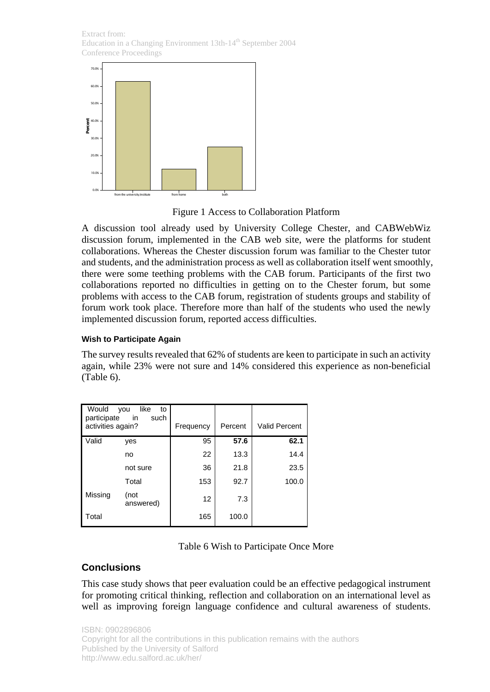Extract from: Education in a Changing Environment 13th-14<sup>th</sup> September 2004 Conference Proceedings



Figure 1 Access to Collaboration Platform

A discussion tool already used by University College Chester, and CABWebWiz discussion forum, implemented in the CAB web site, were the platforms for student collaborations. Whereas the Chester discussion forum was familiar to the Chester tutor and students, and the administration process as well as collaboration itself went smoothly, there were some teething problems with the CAB forum. Participants of the first two collaborations reported no difficulties in getting on to the Chester forum, but some problems with access to the CAB forum, registration of students groups and stability of forum work took place. Therefore more than half of the students who used the newly implemented discussion forum, reported access difficulties.

#### **Wish to Participate Again**

The survey results revealed that 62% of students are keen to participate in such an activity again, while 23% were not sure and 14% considered this experience as non-beneficial (Table 6).

| Would<br>like<br>vou<br>to<br>participate<br>such<br>in<br>activities again? |                   | Frequency | Percent | <b>Valid Percent</b> |
|------------------------------------------------------------------------------|-------------------|-----------|---------|----------------------|
| Valid                                                                        | yes               | 95        | 57.6    | 62.1                 |
|                                                                              | no                | 22        | 13.3    | 14.4                 |
|                                                                              | not sure          | 36        | 21.8    | 23.5                 |
|                                                                              | Total             | 153       | 92.7    | 100.0                |
| Missing                                                                      | (not<br>answered) | 12        | 7.3     |                      |
| Total                                                                        |                   | 165       | 100.0   |                      |

## Table 6 Wish to Participate Once More

## **Conclusions**

This case study shows that peer evaluation could be an effective pedagogical instrument for promoting critical thinking, reflection and collaboration on an international level as well as improving foreign language confidence and cultural awareness of students.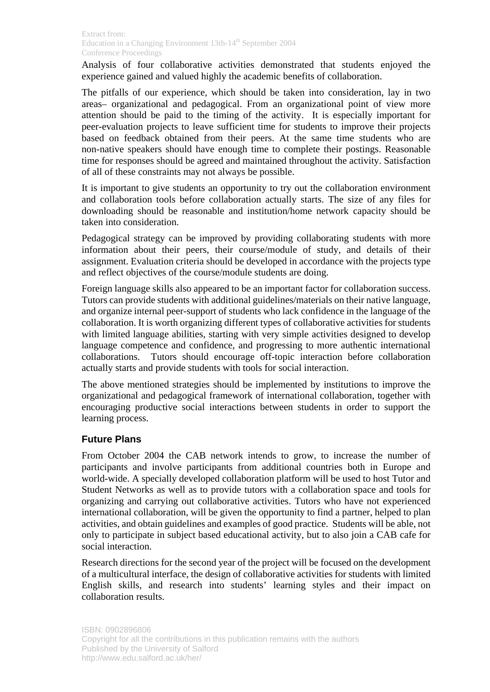Analysis of four collaborative activities demonstrated that students enjoyed the experience gained and valued highly the academic benefits of collaboration.

The pitfalls of our experience, which should be taken into consideration, lay in two areas– organizational and pedagogical. From an organizational point of view more attention should be paid to the timing of the activity. It is especially important for peer-evaluation projects to leave sufficient time for students to improve their projects based on feedback obtained from their peers. At the same time students who are non-native speakers should have enough time to complete their postings. Reasonable time for responses should be agreed and maintained throughout the activity. Satisfaction of all of these constraints may not always be possible.

It is important to give students an opportunity to try out the collaboration environment and collaboration tools before collaboration actually starts. The size of any files for downloading should be reasonable and institution/home network capacity should be taken into consideration.

Pedagogical strategy can be improved by providing collaborating students with more information about their peers, their course/module of study, and details of their assignment. Evaluation criteria should be developed in accordance with the projects type and reflect objectives of the course/module students are doing.

Foreign language skills also appeared to be an important factor for collaboration success. Tutors can provide students with additional guidelines/materials on their native language, and organize internal peer-support of students who lack confidence in the language of the collaboration. It is worth organizing different types of collaborative activities for students with limited language abilities, starting with very simple activities designed to develop language competence and confidence, and progressing to more authentic international collaborations. Tutors should encourage off-topic interaction before collaboration actually starts and provide students with tools for social interaction.

The above mentioned strategies should be implemented by institutions to improve the organizational and pedagogical framework of international collaboration, together with encouraging productive social interactions between students in order to support the learning process.

# **Future Plans**

From October 2004 the CAB network intends to grow, to increase the number of participants and involve participants from additional countries both in Europe and world-wide. A specially developed collaboration platform will be used to host Tutor and Student Networks as well as to provide tutors with a collaboration space and tools for organizing and carrying out collaborative activities. Tutors who have not experienced international collaboration, will be given the opportunity to find a partner, helped to plan activities, and obtain guidelines and examples of good practice. Students will be able, not only to participate in subject based educational activity, but to also join a CAB cafe for social interaction.

Research directions for the second year of the project will be focused on the development of a multicultural interface, the design of collaborative activities for students with limited English skills, and research into students' learning styles and their impact on collaboration results.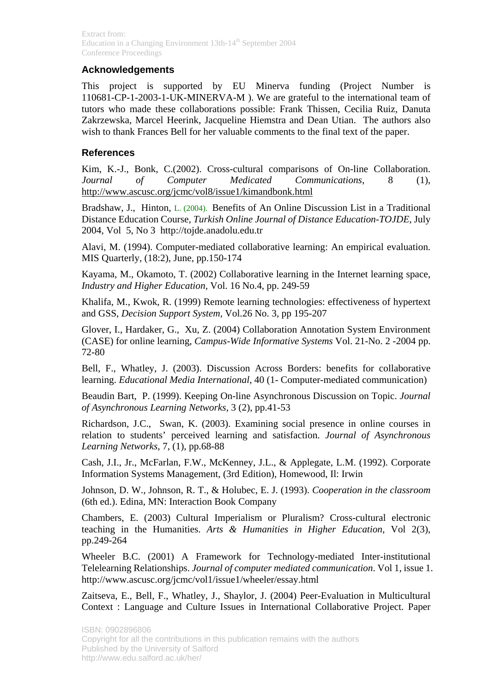#### **Acknowledgements**

This project is supported by EU Minerva funding (Project Number is 110681-CP-1-2003-1-UK-MINERVA-M ). We are grateful to the international team of tutors who made these collaborations possible: Frank Thissen, Cecilia Ruiz, Danuta Zakrzewska, Marcel Heerink, Jacqueline Hiemstra and Dean Utian. The authors also wish to thank Frances Bell for her valuable comments to the final text of the paper.

#### **References**

Kim, K.-J., Bonk, C.(2002). Cross-cultural comparisons of On-line Collaboration. *Journal of Computer Medicated Communications*, 8 (1), <http://www.ascusc.org/jcmc/vol8/issue1/kimandbonk.html>

Bradshaw, J., Hinton, L. (2004). Benefits of An Online Discussion List in a Traditional Distance Education Course, *Turkish Online Journal of Distance Education-TOJDE*, July 2004, Vol 5, No 3 http://tojde.anadolu.edu.tr

Alavi, M. (1994). Computer-mediated collaborative learning: An empirical evaluation. MIS Quarterly, (18:2), June, pp.150-174

Kayama, M., Okamoto, T. (2002) Collaborative learning in the Internet learning space, *Industry and Higher Education,* Vol. 16 No.4, pp. 249-59

Khalifa, M., Kwok, R. (1999) Remote learning technologies: effectiveness of hypertext and GSS, *Decision Support System,* Vol.26 No. 3, pp 195-207

Glover, I., Hardaker, G., Xu, Z. (2004) Collaboration Annotation System Environment (CASE) for online learning, *Campus-Wide Informative Systems* Vol. 21-No. 2 -2004 pp. 72-80

Bell, F., Whatley, J. (2003). Discussion Across Borders: benefits for collaborative learning. *Educational Media International*, 40 (1- Computer-mediated communication)

Beaudin Bart, P. (1999). Keeping On-line Asynchronous Discussion on Topic. *Journal of Asynchronous Learning Networks*, 3 (2), pp.41-53

Richardson, J.C., Swan, K. (2003). Examining social presence in online courses in relation to students' perceived learning and satisfaction. *Journal of Asynchronous Learning Networks*, 7, (1), pp.68-88

Cash, J.I., Jr., McFarlan, F.W., McKenney, J.L., & Applegate, L.M. (1992). Corporate Information Systems Management, (3rd Edition), Homewood, Il: Irwin

Johnson, D. W., Johnson, R. T., & Holubec, E. J. (1993). *Cooperation in the classroom* (6th ed.). Edina, MN: Interaction Book Company

Chambers, E. (2003) Cultural Imperialism or Pluralism? Cross-cultural electronic teaching in the Humanities. *Arts & Humanities in Higher Education*, Vol 2(3), pp.249-264

Wheeler B.C. (2001) A Framework for Technology-mediated Inter-institutional Telelearning Relationships. *Journal of computer mediated communication*. Vol 1, issue 1. http://www.ascusc.org/jcmc/vol1/issue1/wheeler/essay.html

Zaitseva, E., Bell, F., Whatley, J., Shaylor, J. (2004) Peer-Evaluation in Multicultural Context : Language and Culture Issues in International Collaborative Project. Paper